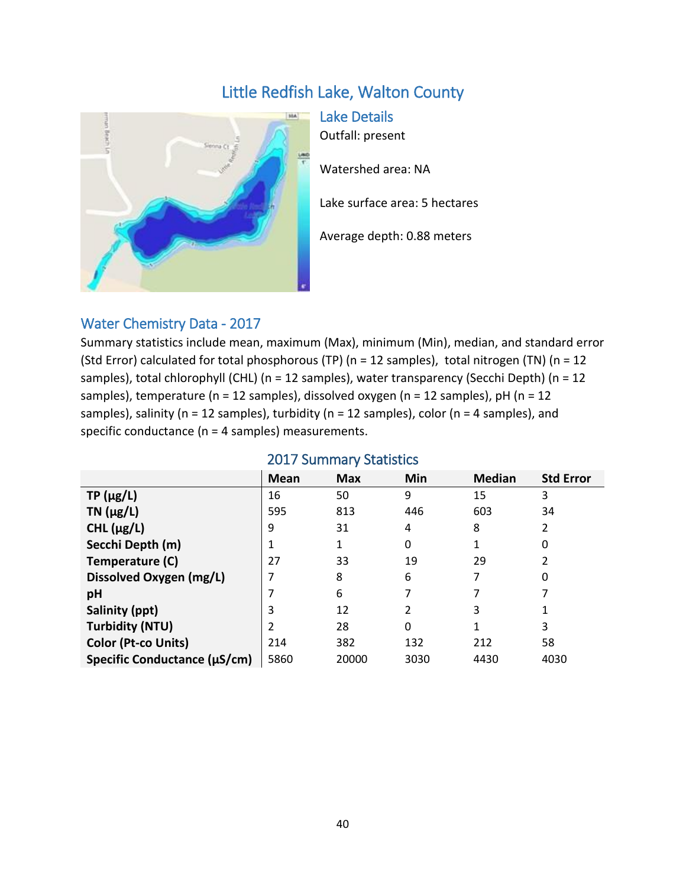# Little Redfish Lake, Walton County



Lake Details

Outfall: present

Watershed area: NA

Lake surface area: 5 hectares

Average depth: 0.88 meters

## Water Chemistry Data - 2017

Summary statistics include mean, maximum (Max), minimum (Min), median, and standard error (Std Error) calculated for total phosphorous (TP) (n = 12 samples), total nitrogen (TN) (n = 12 samples), total chlorophyll (CHL) (n = 12 samples), water transparency (Secchi Depth) (n = 12 samples), temperature (n = 12 samples), dissolved oxygen (n = 12 samples), pH (n = 12 samples), salinity (n = 12 samples), turbidity (n = 12 samples), color (n = 4 samples), and specific conductance (n = 4 samples) measurements.

|                              | <b>Mean</b> | <b>Max</b> | Min  | <b>Median</b> | <b>Std Error</b> |  |  |
|------------------------------|-------------|------------|------|---------------|------------------|--|--|
| $TP(\mu g/L)$                | 16          | 50         | 9    | 15            | 3                |  |  |
| $TN$ ( $\mu$ g/L)            | 595         | 813        | 446  | 603           | 34               |  |  |
| CHL $(\mu g/L)$              | 9           | 31         | 4    | 8             | 2                |  |  |
| Secchi Depth (m)             |             |            | 0    |               | 0                |  |  |
| Temperature (C)              | 27          | 33         | 19   | 29            |                  |  |  |
| Dissolved Oxygen (mg/L)      |             | 8          | 6    |               | 0                |  |  |
| pH                           |             | 6          |      |               |                  |  |  |
| Salinity (ppt)               | 3           | 12         | 2    | 3             |                  |  |  |
| <b>Turbidity (NTU)</b>       |             | 28         | 0    |               | 3                |  |  |
| Color (Pt-co Units)          | 214         | 382        | 132  | 212           | 58               |  |  |
| Specific Conductance (µS/cm) | 5860        | 20000      | 3030 | 4430          | 4030             |  |  |

#### 2017 Summary Statistics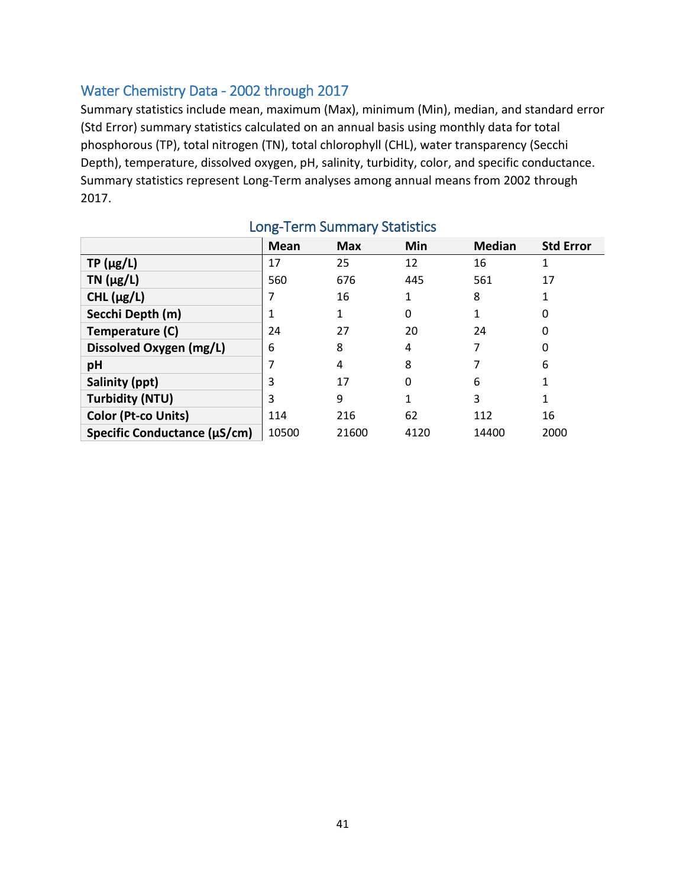#### Water Chemistry Data - 2002 through 2017

Summary statistics include mean, maximum (Max), minimum (Min), median, and standard error (Std Error) summary statistics calculated on an annual basis using monthly data for total phosphorous (TP), total nitrogen (TN), total chlorophyll (CHL), water transparency (Secchi Depth), temperature, dissolved oxygen, pH, salinity, turbidity, color, and specific conductance. Summary statistics represent Long-Term analyses among annual means from 2002 through 2017.

|                              | <b>Mean</b> | <b>Max</b> | Min  | <b>Median</b> | <b>Std Error</b> |
|------------------------------|-------------|------------|------|---------------|------------------|
| $TP(\mu g/L)$                | 17          | 25         | 12   | 16            |                  |
| TN $(\mu g/L)$               | 560         | 676        | 445  | 561           | 17               |
| CHL $(\mu g/L)$              |             | 16         | 1    | 8             |                  |
| Secchi Depth (m)             |             |            | 0    | 1             |                  |
| Temperature (C)              | 24          | 27         | 20   | 24            | 0                |
| Dissolved Oxygen (mg/L)      | 6           | 8          | 4    | 7             | 0                |
| рH                           | 7           | 4          | 8    | 7             | 6                |
| Salinity (ppt)               | 3           | 17         | 0    | 6             |                  |
| <b>Turbidity (NTU)</b>       | 3           | 9          | 1    | 3             | 1                |
| Color (Pt-co Units)          | 114         | 216        | 62   | 112           | 16               |
| Specific Conductance (µS/cm) | 10500       | 21600      | 4120 | 14400         | 2000             |

### Long-Term Summary Statistics